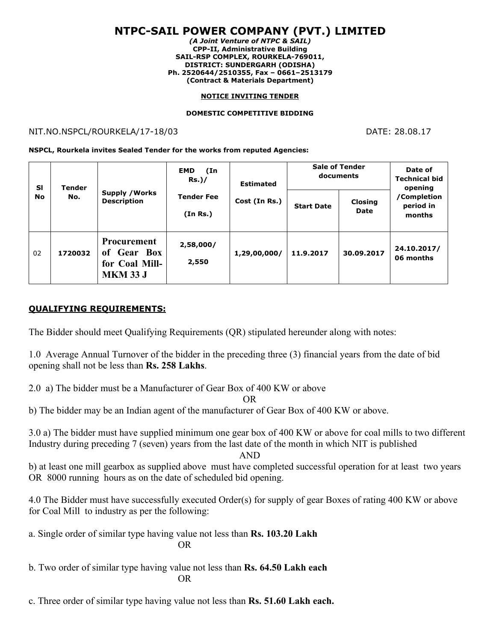# **NTPC-SAIL POWER COMPANY (PVT.) LIMITED**

*(A Joint Venture of NTPC & SAIL)* **CPP-II, Administrative Building SAIL-RSP COMPLEX, ROURKELA-769011, DISTRICT: SUNDERGARH (ODISHA) Ph. 2520644/2510355, Fax – 0661–2513179 (Contract & Materials Department)**

#### **NOTICE INVITING TENDER**

#### **DOMESTIC COMPETITIVE BIDDING**

#### NIT.NO.NSPCL/ROURKELA/17-18/03 DATE: 28.08.17

**NSPCL, Rourkela invites Sealed Tender for the works from reputed Agencies:**

| <b>SI</b><br><b>No</b> | <b>Tender</b><br>No. | <b>Supply / Works</b><br><b>Description</b>                            | <b>EMD</b><br>(In<br><b>Rs.)/</b> | <b>Estimated</b><br>Cost (In Rs.) | <b>Sale of Tender</b><br>documents |                 | Date of<br><b>Technical bid</b><br>opening |
|------------------------|----------------------|------------------------------------------------------------------------|-----------------------------------|-----------------------------------|------------------------------------|-----------------|--------------------------------------------|
|                        |                      |                                                                        | <b>Tender Fee</b><br>(In Rs.)     |                                   | <b>Start Date</b>                  | Closing<br>Date | /Completion<br>period in<br>months         |
| 02                     | 1720032              | <b>Procurement</b><br>of Gear Box<br>for Coal Mill-<br><b>MKM 33 J</b> | 2,58,000/<br>2,550                | 1,29,00,000/                      | 11.9.2017                          | 30.09.2017      | 24.10.2017/<br>06 months                   |

### **QUALIFYING REQUIREMENTS:**

The Bidder should meet Qualifying Requirements (QR) stipulated hereunder along with notes:

1.0 Average AnnualTurnover of the bidder in the preceding three (3) financial years from the date of bid opening shall not be less than **Rs. 258 Lakhs**.

2.0 a) The bidder must be a Manufacturer of Gear Box of 400 KW or above

OR

b) The bidder may be an Indian agent of the manufacturer of Gear Box of 400 KW or above.

3.0 a) The bidder must have supplied minimum one gear box of 400 KW or above for coal mills to two different Industry during preceding 7 (seven) years from the last date of the month in which NIT is published

AND

b) at least one mill gearbox as supplied above must have completed successful operation for at least two years OR 8000 running hours as on the date of scheduled bid opening.

4.0 The Bidder must have successfully executed Order(s) for supply of gear Boxes ofrating 400 KW or above for Coal Mill to industry as per the following:

a. Single order of similar type having value not less than **Rs. 103.20 Lakh** OR

b. Two order of similar type having value not less than **Rs. 64.50 Lakh each** OR

c. Three order of similar type having value not less than **Rs. 51.60 Lakh each.**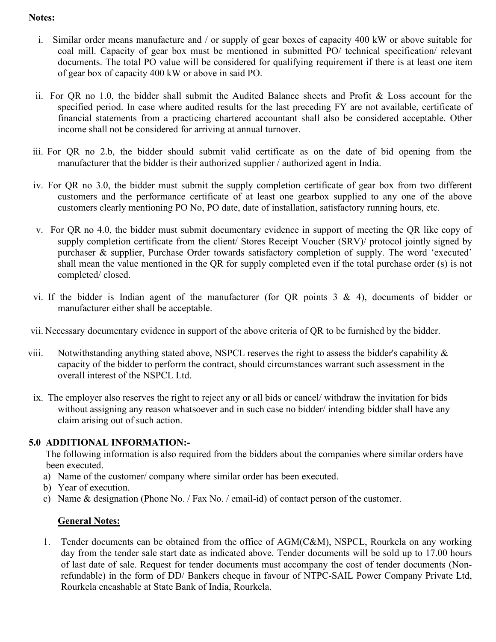### **Notes:**

- i. Similar order means manufacture and / or supply of gearboxes of capacity 400 kW or above suitable for coal mill. Capacity of gear box must be mentioned in submitted PO/ technical specification/ relevant documents. The total PO value will be considered for qualifying requirement if there is at least one item of gear box of capacity 400 kW or above in said PO.
- ii. For QR no 1.0, the bidder shall submit the Audited Balance sheets and Profit & Loss account for the specified period. In case where audited results for the last preceding FY are not available, certificate of financial statements from a practicing chartered accountant shall also be considered acceptable. Other income shall not be considered for arriving at annual turnover.
- iii. For QR no 2.b, the bidder should submit valid certificate as on the date of bid opening from the manufacturer that the bidder is their authorized supplier / authorized agent in India.
- iv. For QR no 3.0, the bidder must submit the supply completion certificate of gear box from two different customers and the performance certificate of at least one gearbox supplied to any one of the above customers clearly mentioning PO No, PO date, date of installation, satisfactory running hours, etc.
- v. For QR no 4.0, the bidder must submit documentary evidence in support of meeting the QR like copy of supply completion certificate from the client/ Stores Receipt Voucher (SRV)/ protocol jointly signed by purchaser & supplier, Purchase Order towards satisfactory completion of supply. The word 'executed' shall mean the value mentioned in the QR for supply completed even if the total purchase order (s) is not completed/ closed.
- vi. If the bidder is Indian agent of the manufacturer (for QR points  $3 \& 4$ ), documents of bidder or manufacturer either shall be acceptable.
- vii. Necessary documentary evidence in support of the above criteria of QR to be furnished by the bidder.
- viii. Notwithstanding anything stated above, NSPCL reserves the right to assess the bidder's capability & capacity of the bidder to perform the contract, should circumstances warrant such assessment in the overall interest of the NSPCL Ltd.
	- ix. The employer also reserves the right to reject any or all bids orcancel/ withdraw the invitation for bids without assigning any reason whatsoever and in such case no bidder/ intending bidder shall have any claim arising out of such action.

## **5.0 ADDITIONAL INFORMATION:-**

The following information is also required from the bidders about the companies where similar orders have been executed.

- a) Name of the customer/ company where similar order has been executed.
- b) Year of execution.
- c) Name & designation (Phone No./ Fax No. / email-id) of contact person of the customer.

# **General Notes:**

1. Tender documents can be obtained from the office of AGM(C&M), NSPCL, Rourkela on any working day from the tender sale start date as indicated above. Tender documents will be sold up to 17.00 hours of last date of sale. Request for tender documents must accompany the cost of tender documents (Nonrefundable) in the form of DD/ Bankers cheque in favour of NTPC-SAIL Power Company Private Ltd, Rourkela encashable at State Bank of India, Rourkela.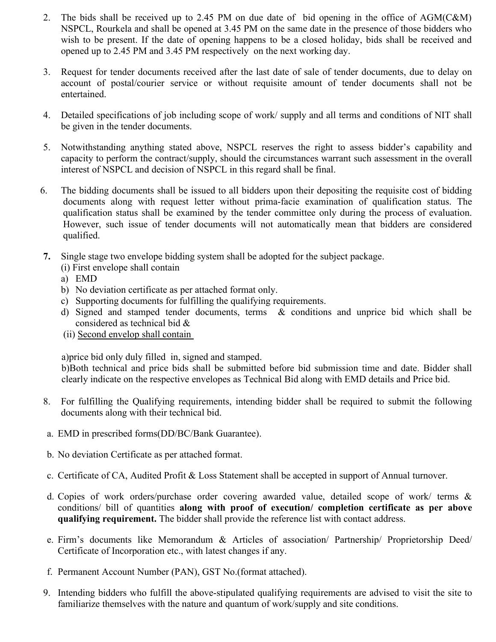- 2. The bids shall be received up to 2.45 PM on due date of bid opening in the office of AGM(C&M) NSPCL, Rourkela and shall be opened at 3.45 PM on the same date in the presence of those bidders who wish to be present. If the date of opening happens to be a closed holiday, bids shall be received and opened up to 2.45 PM and 3.45 PM respectively on the next working day.
- 3. Request for tender documents received after the last date of sale of tender documents, due to delay on account of postal/courier service or without requisite amount of tender documents shall not be entertained.
- 4. Detailed specifications of job including scope of work/ supply and all terms and conditions of NIT shall be given in the tender documents.
- 5. Notwithstanding anything stated above, NSPCL reserves the right to assess bidder's capability and capacity to perform the contract/supply, should the circumstances warrant such assessment in the overall interest of NSPCL and decision of NSPCL in this regard shall be final.
- 6. The bidding documents shall be issued to all bidders upon their depositing the requisite cost of bidding documents along with request letter without prima-facie examination of qualification status. The qualification status shall be examined by the tender committee only during the process of evaluation. However, such issue of tender documents will not automatically mean that bidders are considered qualified.
- **7.** Single stage two envelope bidding system shall be adopted for the subject package.
	- (i) First envelope shall contain
	- a) EMD
	- b) No deviation certificate as per attached format only.
	- c) Supporting documents for fulfilling the qualifying requirements.
	- d) Signed and stamped tender documents, terms & conditions and unprice bid which shall be considered as technical bid &
	- (ii) Second envelop shall contain

a)price bid only duly filled in, signed and stamped.

b)Both technical and price bids shall be submitted before bid submission time and date. Bidder shall clearly indicate on the respective envelopes as Technical Bid along with EMD details and Price bid.

- 8. For fulfilling the Qualifying requirements, intending bidder shall be required to submit the following documents along with their technical bid.
- a. EMD in prescribed forms(DD/BC/Bank Guarantee).
- b. No deviation Certificate as per attached format.
- c. Certificate of CA, Audited Profit & Loss Statement shall be accepted in supportof Annual turnover.
- d. Copies of work orders/purchase order covering awarded value, detailed scope of work/ terms & conditions/ bill of quantities **along with proof ofexecution/ completion certificate as per above qualifying requirement.** The bidder shall provide the reference list with contact address.
- e. Firm's documents like Memorandum & Articles of association/ Partnership/ Proprietorship Deed/ Certificate of Incorporation etc., with latest changes if any.
- f. Permanent Account Number (PAN), GST No.(format attached).
- 9. Intending bidders who fulfill the above-stipulated qualifying requirements are advised to visit the site to familiarize themselves with the nature and quantum of work/supply and site conditions.